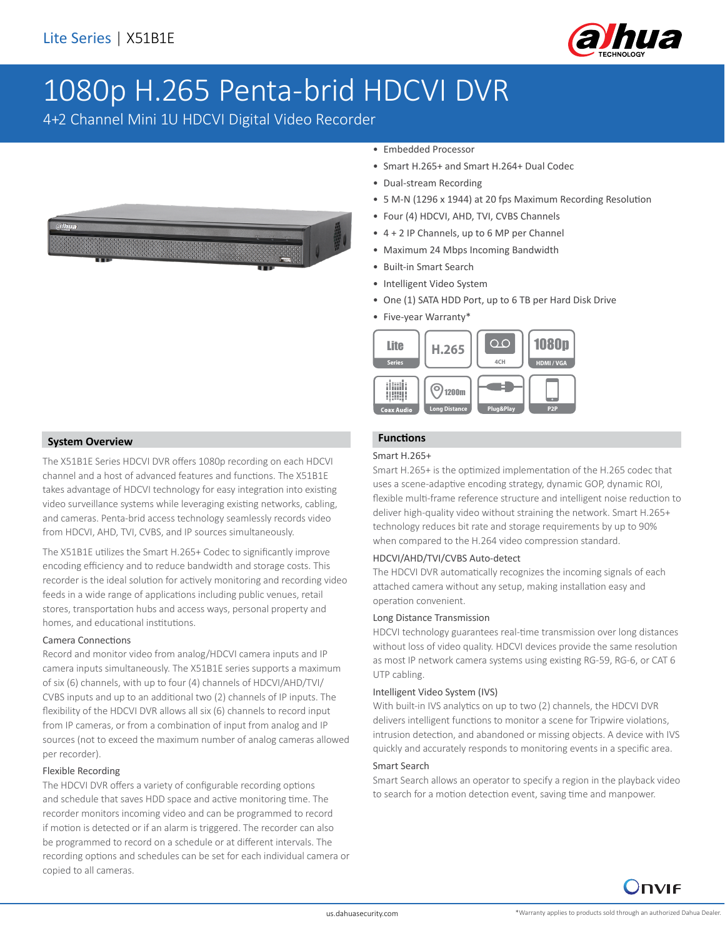

# 1080p H.265 Penta-brid HDCVI DVR

4+2 Channel Mini 1U HDCVI Digital Video Recorder



#### • Embedded Processor

- Smart H.265+ and Smart H.264+ Dual Codec
- Dual-stream Recording
- 5 M-N (1296 x 1944) at 20 fps Maximum Recording Resolution
- Four (4) HDCVI, AHD, TVI, CVBS Channels
- 4 + 2 IP Channels, up to 6 MP per Channel
- Maximum 24 Mbps Incoming Bandwidth
- Built-in Smart Search
- Intelligent Video System
- One (1) SATA HDD Port, up to 6 TB per Hard Disk Drive
- Five-year Warranty\*



### **Functions**

#### Smart H.265+

Smart H.265+ is the optimized implementation of the H.265 codec that uses a scene-adaptive encoding strategy, dynamic GOP, dynamic ROI, flexible multi-frame reference structure and intelligent noise reduction to deliver high-quality video without straining the network. Smart H.265+ technology reduces bit rate and storage requirements by up to 90% when compared to the H.264 video compression standard.

#### HDCVI/AHD/TVI/CVBS Auto-detect

The HDCVI DVR automatically recognizes the incoming signals of each attached camera without any setup, making installation easy and operation convenient.

#### Long Distance Transmission

HDCVI technology guarantees real-time transmission over long distances without loss of video quality. HDCVI devices provide the same resolution as most IP network camera systems using existing RG-59, RG-6, or CAT 6 UTP cabling.

#### Intelligent Video System (IVS)

With built-in IVS analytics on up to two (2) channels, the HDCVI DVR delivers intelligent functions to monitor a scene for Tripwire violations, intrusion detection, and abandoned or missing objects. A device with IVS quickly and accurately responds to monitoring events in a specific area.

#### Smart Search

Smart Search allows an operator to specify a region in the playback video to search for a motion detection event, saving time and manpower.



The X51B1E Series HDCVI DVR offers 1080p recording on each HDCVI channel and a host of advanced features and functions. The X51B1E takes advantage of HDCVI technology for easy integration into existing video surveillance systems while leveraging existing networks, cabling, and cameras. Penta-brid access technology seamlessly records video from HDCVI, AHD, TVI, CVBS, and IP sources simultaneously.

The X51B1E utilizes the Smart H.265+ Codec to significantly improve encoding efficiency and to reduce bandwidth and storage costs. This recorder is the ideal solution for actively monitoring and recording video feeds in a wide range of applications including public venues, retail stores, transportation hubs and access ways, personal property and homes, and educational institutions.

#### Camera Connections

Record and monitor video from analog/HDCVI camera inputs and IP camera inputs simultaneously. The X51B1E series supports a maximum of six (6) channels, with up to four (4) channels of HDCVI/AHD/TVI/ CVBS inputs and up to an additional two (2) channels of IP inputs. The flexibility of the HDCVI DVR allows all six (6) channels to record input from IP cameras, or from a combination of input from analog and IP sources (not to exceed the maximum number of analog cameras allowed per recorder).

#### Flexible Recording

The HDCVI DVR offers a variety of configurable recording options and schedule that saves HDD space and active monitoring time. The recorder monitors incoming video and can be programmed to record if motion is detected or if an alarm is triggered. The recorder can also be programmed to record on a schedule or at different intervals. The recording options and schedules can be set for each individual camera or copied to all cameras.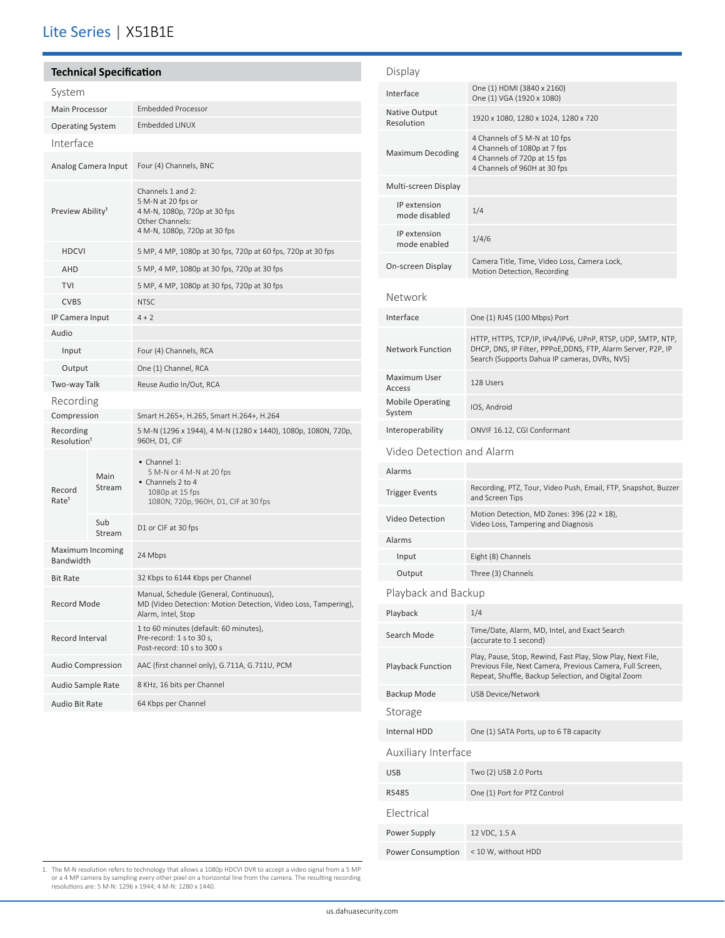## Lite Series | X51B1E

| <b>Technical Specification</b>       |                     |                                                                                                                                 |  |
|--------------------------------------|---------------------|---------------------------------------------------------------------------------------------------------------------------------|--|
| System                               |                     |                                                                                                                                 |  |
| <b>Main Processor</b>                |                     | <b>Embedded Processor</b>                                                                                                       |  |
| <b>Operating System</b>              |                     | Embedded LINUX                                                                                                                  |  |
| Interface                            |                     |                                                                                                                                 |  |
|                                      | Analog Camera Input | Four (4) Channels, BNC                                                                                                          |  |
| Preview Ability <sup>1</sup>         |                     | Channels 1 and 2:<br>5 M-N at 20 fps or<br>4 M-N, 1080p, 720p at 30 fps<br>Other Channels:<br>4 M-N, 1080p, 720p at 30 fps      |  |
| <b>HDCVI</b>                         |                     | 5 MP, 4 MP, 1080p at 30 fps, 720p at 60 fps, 720p at 30 fps                                                                     |  |
| AHD                                  |                     | 5 MP, 4 MP, 1080p at 30 fps, 720p at 30 fps                                                                                     |  |
| <b>TVI</b>                           |                     | 5 MP, 4 MP, 1080p at 30 fps, 720p at 30 fps                                                                                     |  |
| <b>CVBS</b>                          |                     | <b>NTSC</b>                                                                                                                     |  |
| IP Camera Input                      |                     | $4 + 2$                                                                                                                         |  |
| Audio                                |                     |                                                                                                                                 |  |
| Input                                |                     | Four (4) Channels, RCA                                                                                                          |  |
| Output                               |                     | One (1) Channel, RCA                                                                                                            |  |
| Two-way Talk                         |                     | Reuse Audio In/Out, RCA                                                                                                         |  |
| Recording                            |                     |                                                                                                                                 |  |
| Compression                          |                     | Smart H.265+, H.265, Smart H.264+, H.264                                                                                        |  |
| Recording<br>Resolution <sup>1</sup> |                     | 5 M-N (1296 x 1944), 4 M-N (1280 x 1440), 1080p, 1080N, 720p,<br>960H, D1, CIF                                                  |  |
| Record<br>Rate <sup>1</sup>          | Main<br>Stream      | • Channel 1:<br>5 M-N or 4 M-N at 20 fps<br>• Channels 2 to 4<br>1080p at 15 fps<br>1080N, 720p, 960H, D1, CIF at 30 fps        |  |
|                                      | Sub<br>Stream       | D1 or CIF at 30 fps                                                                                                             |  |
| Maximum Incoming<br>Bandwidth        |                     | 24 Mbps                                                                                                                         |  |
| <b>Bit Rate</b>                      |                     | 32 Kbps to 6144 Kbps per Channel                                                                                                |  |
| <b>Record Mode</b>                   |                     | Manual, Schedule (General, Continuous),<br>MD (Video Detection: Motion Detection, Video Loss, Tampering),<br>Alarm, Intel, Stop |  |
| Record Interval                      |                     | 1 to 60 minutes (default: 60 minutes),<br>Pre-record: 1 s to 30 s,<br>Post-record: 10 s to 300 s                                |  |
| <b>Audio Compression</b>             |                     | AAC (first channel only), G.711A, G.711U, PCM                                                                                   |  |
| Audio Sample Rate                    |                     | 8 KHz, 16 bits per Channel                                                                                                      |  |
| Audio Bit Rate                       |                     | 64 Kbps per Channel                                                                                                             |  |
|                                      |                     |                                                                                                                                 |  |

| Display                           |                                                                                                                                                                                 |  |
|-----------------------------------|---------------------------------------------------------------------------------------------------------------------------------------------------------------------------------|--|
| Interface                         | One (1) HDMI (3840 x 2160)<br>One (1) VGA (1920 x 1080)                                                                                                                         |  |
| Native Output<br>Resolution       | 1920 x 1080, 1280 x 1024, 1280 x 720                                                                                                                                            |  |
| <b>Maximum Decoding</b>           | 4 Channels of 5 M-N at 10 fps<br>4 Channels of 1080p at 7 fps<br>4 Channels of 720p at 15 fps<br>4 Channels of 960H at 30 fps                                                   |  |
| Multi-screen Display              |                                                                                                                                                                                 |  |
| IP extension<br>mode disabled     | 1/4                                                                                                                                                                             |  |
| IP extension<br>mode enabled      | 1/4/6                                                                                                                                                                           |  |
| On-screen Display                 | Camera Title, Time, Video Loss, Camera Lock,<br>Motion Detection, Recording                                                                                                     |  |
| Network                           |                                                                                                                                                                                 |  |
| Interface                         | One (1) RJ45 (100 Mbps) Port                                                                                                                                                    |  |
| <b>Network Function</b>           | HTTP, HTTPS, TCP/IP, IPv4/IPv6, UPnP, RTSP, UDP, SMTP, NTP,<br>DHCP, DNS, IP Filter, PPPoE,DDNS, FTP, Alarm Server, P2P, IP<br>Search (Supports Dahua IP cameras, DVRs, NVS)    |  |
| Maximum User<br>Access            | 128 Users                                                                                                                                                                       |  |
| <b>Mobile Operating</b><br>System | IOS, Android                                                                                                                                                                    |  |
| Interoperability                  | ONVIF 16.12, CGI Conformant                                                                                                                                                     |  |
| Video Detection and Alarm         |                                                                                                                                                                                 |  |
| Alarms                            |                                                                                                                                                                                 |  |
| <b>Trigger Events</b>             | Recording, PTZ, Tour, Video Push, Email, FTP, Snapshot, Buzzer<br>and Screen Tips                                                                                               |  |
| <b>Video Detection</b>            | Motion Detection, MD Zones: 396 (22 × 18),<br>Video Loss, Tampering and Diagnosis                                                                                               |  |
| Alarms                            |                                                                                                                                                                                 |  |
| Input                             | Eight (8) Channels                                                                                                                                                              |  |
| Output                            | Three (3) Channels                                                                                                                                                              |  |
| Playback and Backup               |                                                                                                                                                                                 |  |
| Playback                          | 1/4                                                                                                                                                                             |  |
| Search Mode                       | Time/Date, Alarm, MD, Intel, and Exact Search<br>(accurate to 1 second)                                                                                                         |  |
| <b>Playback Function</b>          | Play, Pause, Stop, Rewind, Fast Play, Slow Play, Next File,<br>Previous File, Next Camera, Previous Camera, Full Screen,<br>Repeat, Shuffle, Backup Selection, and Digital Zoom |  |
| Backup Mode                       | USB Device/Network                                                                                                                                                              |  |
| Storage                           |                                                                                                                                                                                 |  |
| Internal HDD                      | One (1) SATA Ports, up to 6 TB capacity                                                                                                                                         |  |
| Auxiliary Interface               |                                                                                                                                                                                 |  |
| <b>USB</b>                        | Two (2) USB 2.0 Ports                                                                                                                                                           |  |
| <b>RS485</b>                      | One (1) Port for PTZ Control                                                                                                                                                    |  |
| Electrical                        |                                                                                                                                                                                 |  |
| Power Supply                      | 12 VDC, 1.5 A                                                                                                                                                                   |  |
| Power Consumption                 | < 10 W, without HDD                                                                                                                                                             |  |
|                                   |                                                                                                                                                                                 |  |

1. The M-N resolution refers to technology that allows a 1080p HDCVI DVR to accept a video signal from a 5 MP<br>or a 4 MP camera by sampling every other pixel on a horizontal line from the camera. The resulting recording<br>res